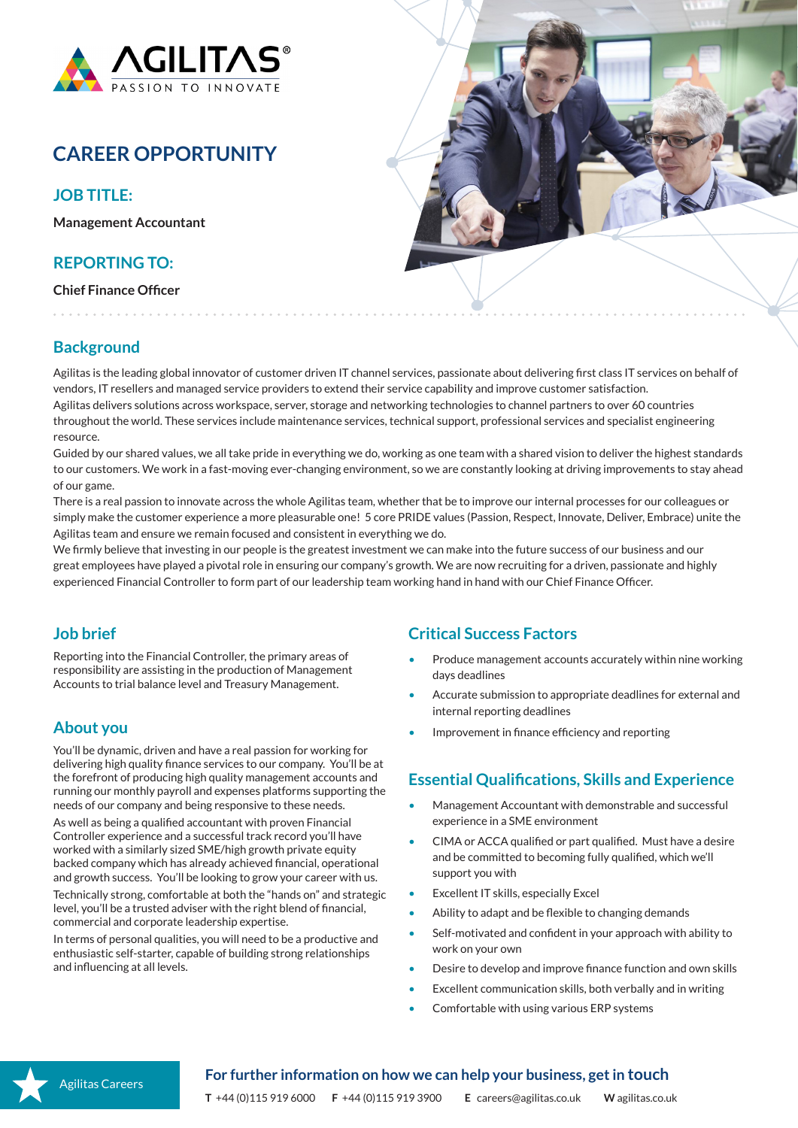

# **CAREER OPPORTUNITY**

**JOB TITLE:**

**Management Accountant**

## **REPORTING TO:**

**Chief Finance Officer**



## **Background**

Agilitas is the leading global innovator of customer driven IT channel services, passionate about delivering first class IT services on behalf of vendors, IT resellers and managed service providers to extend their service capability and improve customer satisfaction. Agilitas delivers solutions across workspace, server, storage and networking technologies to channel partners to over 60 countries throughout the world. These services include maintenance services, technical support, professional services and specialist engineering resource.

Guided by our shared values, we all take pride in everything we do, working as one team with a shared vision to deliver the highest standards to our customers. We work in a fast-moving ever-changing environment, so we are constantly looking at driving improvements to stay ahead of our game.

There is a real passion to innovate across the whole Agilitas team, whether that be to improve our internal processes for our colleagues or simply make the customer experience a more pleasurable one! 5 core PRIDE values (Passion, Respect, Innovate, Deliver, Embrace) unite the Agilitas team and ensure we remain focused and consistent in everything we do.

We firmly believe that investing in our people is the greatest investment we can make into the future success of our business and our great employees have played a pivotal role in ensuring our company's growth. We are now recruiting for a driven, passionate and highly experienced Financial Controller to form part of our leadership team working hand in hand with our Chief Finance Officer.

# **Job brief**

Reporting into the Financial Controller, the primary areas of responsibility are assisting in the production of Management Accounts to trial balance level and Treasury Management.

# **About you**

You'll be dynamic, driven and have a real passion for working for delivering high quality finance services to our company. You'll be at the forefront of producing high quality management accounts and running our monthly payroll and expenses platforms supporting the needs of our company and being responsive to these needs.

As well as being a qualified accountant with proven Financial Controller experience and a successful track record you'll have worked with a similarly sized SME/high growth private equity backed company which has already achieved financial, operational and growth success. You'll be looking to grow your career with us.

Technically strong, comfortable at both the "hands on" and strategic level, you'll be a trusted adviser with the right blend of financial, commercial and corporate leadership expertise.

In terms of personal qualities, you will need to be a productive and enthusiastic self-starter, capable of building strong relationships and influencing at all levels.

# **Critical Success Factors**

- Produce management accounts accurately within nine working days deadlines
- Accurate submission to appropriate deadlines for external and internal reporting deadlines
- Improvement in finance efficiency and reporting

# **Essential Qualifications, Skills and Experience**

- Management Accountant with demonstrable and successful experience in a SME environment
- CIMA or ACCA qualified or part qualified. Must have a desire and be committed to becoming fully qualified, which we'll support you with
- Excellent IT skills, especially Excel
- Ability to adapt and be flexible to changing demands
- Self-motivated and confident in your approach with ability to work on your own
- Desire to develop and improve finance function and own skills
- Excellent communication skills, both verbally and in writing
- Comfortable with using various ERP systems



### **For further information on how we can help your business, get in touch**

**T** +44 (0)115 919 6000 **F** +44 (0)115 919 3900 **E** careers@agilitas.co.uk **W** agilitas.co.uk